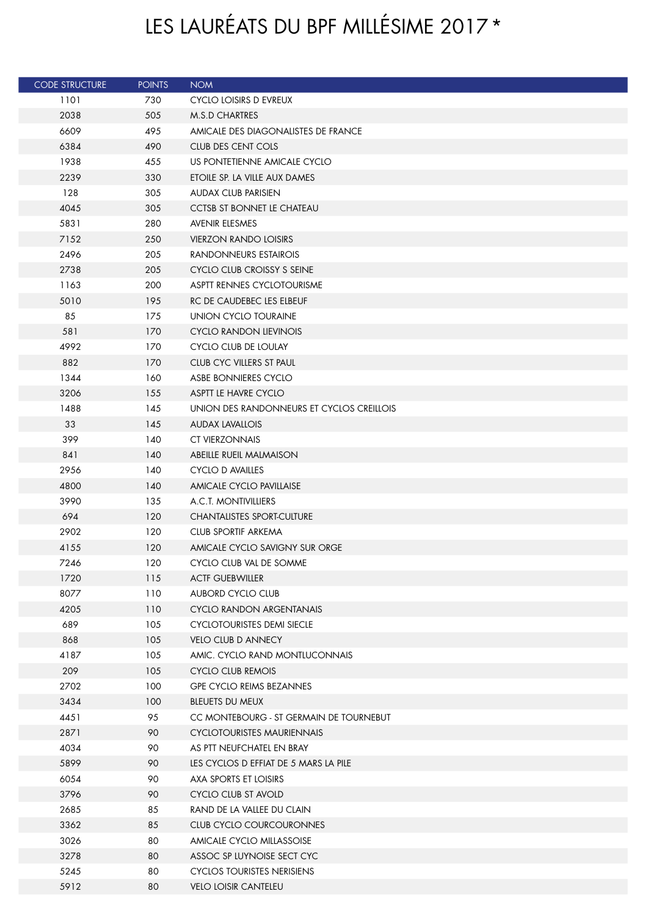## LES LAURÉATS DU BPF MILLÉSIME 2017\*

| <b>CODE STRUCTURE</b> | <b>POINTS</b> | <b>NOM</b>                                                 |
|-----------------------|---------------|------------------------------------------------------------|
| 1101                  | 730           | <b>CYCLO LOISIRS D EVREUX</b>                              |
| 2038                  | 505           | M.S.D CHARTRES                                             |
| 6609                  | 495           | AMICALE DES DIAGONALISTES DE FRANCE                        |
| 6384                  | 490           | <b>CLUB DES CENT COLS</b>                                  |
| 1938                  | 455           | US PONTETIENNE AMICALE CYCLO                               |
| 2239                  | 330           | ETOILE SP. LA VILLE AUX DAMES                              |
| 128                   | 305           | <b>AUDAX CLUB PARISIEN</b>                                 |
| 4045                  | 305           | CCTSB ST BONNET LE CHATEAU                                 |
| 5831                  | 280           | <b>AVENIR ELESMES</b>                                      |
| 7152                  | 250           | <b>VIERZON RANDO LOISIRS</b>                               |
| 2496                  | 205           | RANDONNEURS ESTAIROIS                                      |
| 2738                  | 205           | CYCLO CLUB CROISSY S SEINE                                 |
| 1163                  | 200           | <b>ASPTT RENNES CYCLOTOURISME</b>                          |
| 5010                  | 195           | RC DE CAUDEBEC LES ELBEUF                                  |
| 85                    | 175           | UNION CYCLO TOURAINE                                       |
| 581                   | 170           | CYCLO RANDON LIEVINOIS                                     |
| 4992                  | 170           | CYCLO CLUB DE LOULAY                                       |
| 882                   | 170           | CLUB CYC VILLERS ST PAUL                                   |
| 1344                  | 160           | ASBE BONNIERES CYCLO                                       |
| 3206                  | 155           | ASPTT LE HAVRE CYCLO                                       |
| 1488                  | 145           | UNION DES RANDONNEURS ET CYCLOS CREILLOIS                  |
| 33                    | 145           | <b>AUDAX LAVALLOIS</b>                                     |
| 399                   | 140           | <b>CT VIERZONNAIS</b>                                      |
| 841                   | 140           | ABEILLE RUEIL MALMAISON                                    |
| 2956                  | 140           | <b>CYCLO D AVAILLES</b>                                    |
| 4800                  | 140           | AMICALE CYCLO PAVILLAISE                                   |
| 3990                  | 135           | A.C.T. MONTIVILLIERS                                       |
| 694                   | 120           | <b>CHANTALISTES SPORT-CULTURE</b>                          |
| 2902                  | 120           | CLUB SPORTIF ARKEMA                                        |
| 4155                  | 120           | AMICALE CYCLO SAVIGNY SUR ORGE                             |
| 7246                  | 120           | CYCLO CLUB VAL DE SOMME                                    |
| 1720                  | 115           | <b>ACTF GUEBWILLER</b>                                     |
| 8077                  | 110           | <b>AUBORD CYCLO CLUB</b>                                   |
| 4205                  | 110           | <b>CYCLO RANDON ARGENTANAIS</b>                            |
| 689                   | 105           | <b>CYCLOTOURISTES DEMI SIECLE</b>                          |
| 868                   | 105           | <b>VELO CLUB D ANNECY</b>                                  |
| 4187                  | 105           | AMIC. CYCLO RAND MONTLUCONNAIS<br><b>CYCLO CLUB REMOIS</b> |
| 209<br>2702           | 105<br>100    |                                                            |
| 3434                  | 100           | <b>GPE CYCLO REIMS BEZANNES</b><br>BLEUETS DU MEUX         |
| 4451                  | 95            | CC MONTEBOURG - ST GERMAIN DE TOURNEBUT                    |
| 2871                  | 90            | CYCLOTOURISTES MAURIENNAIS                                 |
| 4034                  | 90            | AS PTT NEUFCHATEL EN BRAY                                  |
| 5899                  | 90            | LES CYCLOS D EFFIAT DE 5 MARS LA PILE                      |
| 6054                  | 90            | AXA SPORTS ET LOISIRS                                      |
| 3796                  | 90            | CYCLO CLUB ST AVOLD                                        |
| 2685                  | 85            | RAND DE LA VALLEE DU CLAIN                                 |
| 3362                  | 85            | CLUB CYCLO COURCOURONNES                                   |
| 3026                  | 80            | AMICALE CYCLO MILLASSOISE                                  |
| 3278                  | 80            | ASSOC SP LUYNOISE SECT CYC                                 |
| 5245                  | 80            | <b>CYCLOS TOURISTES NERISIENS</b>                          |
| 5912                  | 80            | <b>VELO LOISIR CANTELEU</b>                                |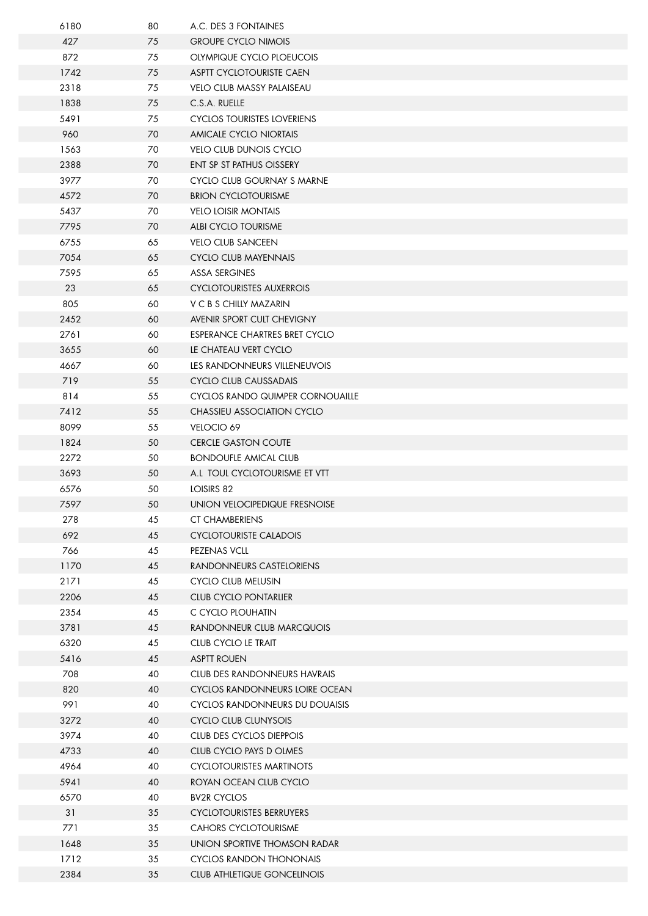| 6180         | 80       | A.C. DES 3 FONTAINES                     |
|--------------|----------|------------------------------------------|
| 427          | 75       | <b>GROUPE CYCLO NIMOIS</b>               |
| 872          | 75       | OLYMPIQUE CYCLO PLOEUCOIS                |
| 1742         | 75       | ASPTT CYCLOTOURISTE CAEN                 |
| 2318         | 75       | <b>VELO CLUB MASSY PALAISEAU</b>         |
| 1838         | 75       | C.S.A. RUELLE                            |
| 5491         | 75       | <b>CYCLOS TOURISTES LOVERIENS</b>        |
| 960          | 70       | AMICALE CYCLO NIORTAIS                   |
| 1563         | 70       | <b>VELO CLUB DUNOIS CYCLO</b>            |
| 2388         | 70       | ENT SP ST PATHUS OISSERY                 |
| 3977         | 70       | CYCLO CLUB GOURNAY S MARNE               |
| 4572         | 70       | <b>BRION CYCLOTOURISME</b>               |
| 5437         | 70       | <b>VELO LOISIR MONTAIS</b>               |
| 7795         | 70       | ALBI CYCLO TOURISME                      |
| 6755         | 65       | <b>VELO CLUB SANCEEN</b>                 |
| 7054         | 65       | CYCLO CLUB MAYENNAIS                     |
| 7595         | 65       | <b>ASSA SERGINES</b>                     |
| 23           | 65       | <b>CYCLOTOURISTES AUXERROIS</b>          |
| 805          | 60       | V C B S CHILLY MAZARIN                   |
| 2452         | 60       | AVENIR SPORT CULT CHEVIGNY               |
| 2761         | 60       | ESPERANCE CHARTRES BRET CYCLO            |
| 3655         | 60       | LE CHATEAU VERT CYCLO                    |
| 4667         | 60       | LES RANDONNEURS VILLENEUVOIS             |
| 719          | 55       | CYCLO CLUB CAUSSADAIS                    |
| 814          | 55       | <b>CYCLOS RANDO QUIMPER CORNOUAILLE</b>  |
| 7412         | 55       | CHASSIEU ASSOCIATION CYCLO               |
| 8099<br>1824 | 55       | VELOCIO 69<br><b>CERCLE GASTON COUTE</b> |
| 2272         | 50       | <b>BONDOUFLE AMICAL CLUB</b>             |
| 3693         | 50<br>50 | A.L TOUL CYCLOTOURISME ET VTT            |
| 6576         | 50       | LOISIRS 82                               |
| 7597         | 50       | UNION VELOCIPEDIQUE FRESNOISE            |
| 278          | 45       | <b>CT CHAMBERIENS</b>                    |
| 692          | 45       | <b>CYCLOTOURISTE CALADOIS</b>            |
| 766          | 45       | PEZENAS VCLL                             |
| 1170         | 45       | RANDONNEURS CASTELORIENS                 |
| 2171         | 45       | <b>CYCLO CLUB MELUSIN</b>                |
| 2206         | 45       | <b>CLUB CYCLO PONTARLIER</b>             |
| 2354         | 45       | C CYCLO PLOUHATIN                        |
| 3781         | 45       | RANDONNEUR CLUB MARCQUOIS                |
| 6320         | 45       | CLUB CYCLO LE TRAIT                      |
| 5416         | 45       | <b>ASPTT ROUEN</b>                       |
| 708          | 40       | CLUB DES RANDONNEURS HAVRAIS             |
| 820          | 40       | CYCLOS RANDONNEURS LOIRE OCEAN           |
| 991          | 40       | CYCLOS RANDONNEURS DU DOUAISIS           |
| 3272         | 40       | <b>CYCLO CLUB CLUNYSOIS</b>              |
| 3974         | 40       | CLUB DES CYCLOS DIEPPOIS                 |
| 4733         | 40       | CLUB CYCLO PAYS D OLMES                  |
| 4964         | 40       | <b>CYCLOTOURISTES MARTINOTS</b>          |
| 5941         | 40       | ROYAN OCEAN CLUB CYCLO                   |
| 6570         | 40       | <b>BV2R CYCLOS</b>                       |
| 31           | 35       | <b>CYCLOTOURISTES BERRUYERS</b>          |
| 771          | 35       | <b>CAHORS CYCLOTOURISME</b>              |
| 1648         | 35       | UNION SPORTIVE THOMSON RADAR             |
| 1712         | 35       | <b>CYCLOS RANDON THONONAIS</b>           |
| 2384         | 35       | <b>CLUB ATHLETIQUE GONCELINOIS</b>       |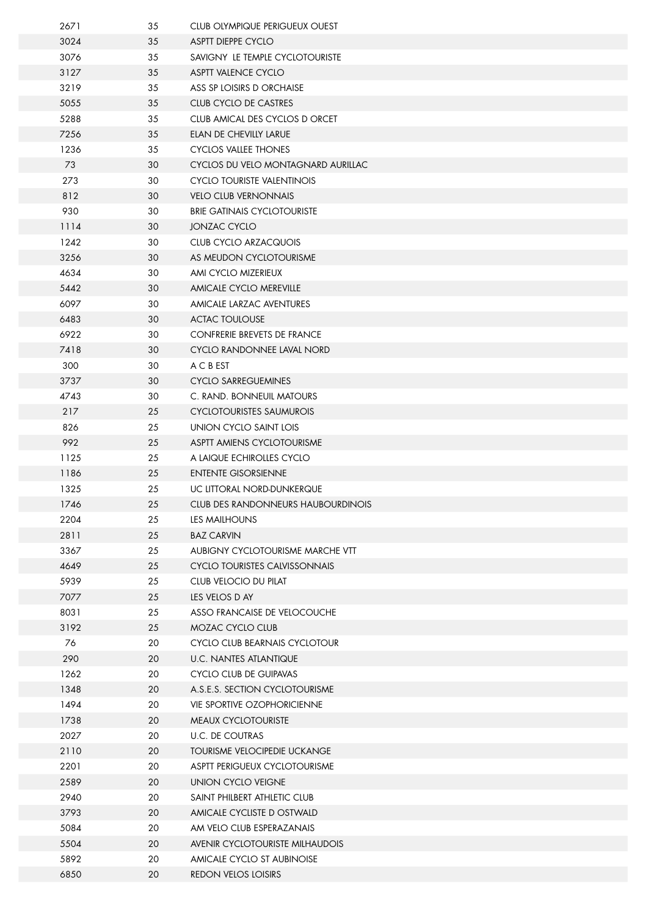| 2671 | 35 | CLUB OLYMPIQUE PERIGUEUX OUEST       |
|------|----|--------------------------------------|
| 3024 | 35 | ASPTT DIEPPE CYCLO                   |
| 3076 | 35 | SAVIGNY LE TEMPLE CYCLOTOURISTE      |
| 3127 | 35 | ASPTT VALENCE CYCLO                  |
| 3219 | 35 | ASS SP LOISIRS D ORCHAISE            |
| 5055 | 35 | CLUB CYCLO DE CASTRES                |
| 5288 | 35 | CLUB AMICAL DES CYCLOS D ORCET       |
| 7256 | 35 | ELAN DE CHEVILLY LARUE               |
| 1236 | 35 | CYCLOS VALLEE THONES                 |
| 73   | 30 | CYCLOS DU VELO MONTAGNARD AURILLAC   |
| 273  | 30 | CYCLO TOURISTE VALENTINOIS           |
| 812  | 30 | <b>VELO CLUB VERNONNAIS</b>          |
| 930  | 30 | <b>BRIE GATINAIS CYCLOTOURISTE</b>   |
| 1114 | 30 | <b>JONZAC CYCLO</b>                  |
| 1242 | 30 | <b>CLUB CYCLO ARZACQUOIS</b>         |
| 3256 | 30 | AS MEUDON CYCLOTOURISME              |
| 4634 | 30 | AMI CYCLO MIZERIEUX                  |
| 5442 | 30 | AMICALE CYCLO MEREVILLE              |
| 6097 | 30 | AMICALE LARZAC AVENTURES             |
| 6483 | 30 | <b>ACTAC TOULOUSE</b>                |
| 6922 | 30 | CONFRERIE BREVETS DE FRANCE          |
| 7418 | 30 | CYCLO RANDONNEE LAVAL NORD           |
| 300  | 30 | A C B EST                            |
| 3737 | 30 | <b>CYCLO SARREGUEMINES</b>           |
| 4743 | 30 | C. RAND. BONNEUIL MATOURS            |
| 217  | 25 | <b>CYCLOTOURISTES SAUMUROIS</b>      |
| 826  | 25 | UNION CYCLO SAINT LOIS               |
| 992  | 25 | ASPTT AMIENS CYCLOTOURISME           |
| 1125 | 25 | A LAIQUE ECHIROLLES CYCLO            |
| 1186 | 25 | <b>ENTENTE GISORSIENNE</b>           |
| 1325 | 25 | UC LITTORAL NORD-DUNKERQUE           |
| 1746 | 25 | CLUB DES RANDONNEURS HAUBOURDINOIS   |
| 2204 | 25 | <b>LES MAILHOUNS</b>                 |
| 2811 | 25 | <b>BAZ CARVIN</b>                    |
| 3367 | 25 | AUBIGNY CYCLOTOURISME MARCHE VTT     |
| 4649 | 25 | <b>CYCLO TOURISTES CALVISSONNAIS</b> |
| 5939 | 25 | CLUB VELOCIO DU PILAT                |
| 7077 | 25 | LES VELOS D AY                       |
| 8031 | 25 | ASSO FRANCAISE DE VELOCOUCHE         |
| 3192 | 25 | MOZAC CYCLO CLUB                     |
| 76   | 20 | CYCLO CLUB BEARNAIS CYCLOTOUR        |
| 290  | 20 | U.C. NANTES ATLANTIQUE               |
| 1262 | 20 | <b>CYCLO CLUB DE GUIPAVAS</b>        |
| 1348 | 20 | A.S.E.S. SECTION CYCLOTOURISME       |
| 1494 | 20 | <b>VIE SPORTIVE OZOPHORICIENNE</b>   |
| 1738 | 20 | <b>MEAUX CYCLOTOURISTE</b>           |
| 2027 | 20 | <b>U.C. DE COUTRAS</b>               |
| 2110 | 20 | TOURISME VELOCIPEDIE UCKANGE         |
| 2201 | 20 | ASPTT PERIGUEUX CYCLOTOURISME        |
| 2589 | 20 | UNION CYCLO VEIGNE                   |
| 2940 | 20 | SAINT PHILBERT ATHLETIC CLUB         |
| 3793 | 20 | AMICALE CYCLISTE D OSTWALD           |
| 5084 | 20 | AM VELO CLUB ESPERAZANAIS            |
| 5504 | 20 | AVENIR CYCLOTOURISTE MILHAUDOIS      |
| 5892 | 20 | AMICALE CYCLO ST AUBINOISE           |
| 6850 | 20 | REDON VELOS LOISIRS                  |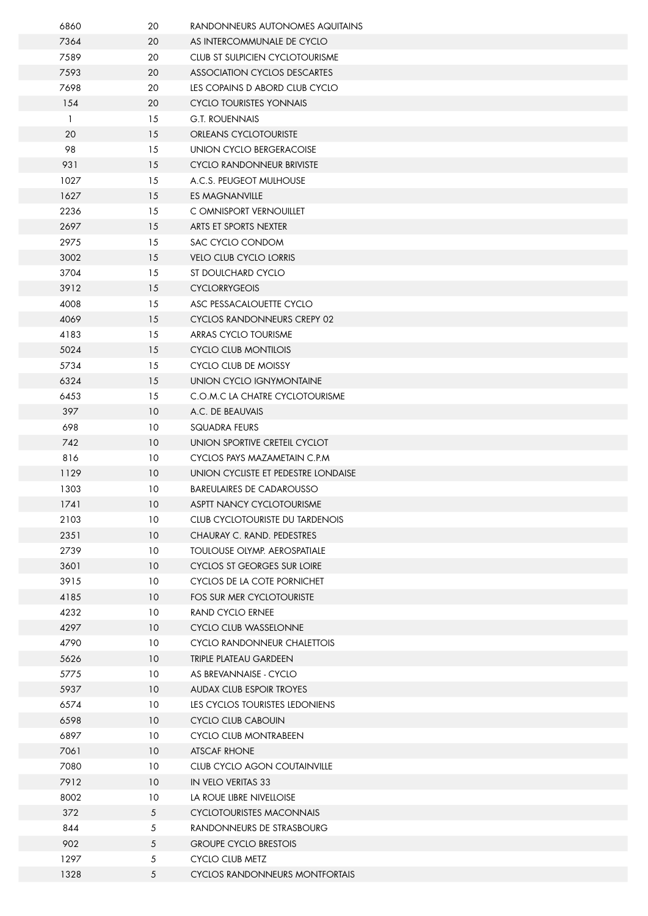| 6860         | 20              | RANDONNEURS AUTONOMES AQUITAINS     |
|--------------|-----------------|-------------------------------------|
| 7364         | 20              | AS INTERCOMMUNALE DE CYCLO          |
| 7589         | 20              | CLUB ST SULPICIEN CYCLOTOURISME     |
| 7593         | 20              | ASSOCIATION CYCLOS DESCARTES        |
| 7698         | 20              | LES COPAINS D ABORD CLUB CYCLO      |
| 154          | 20              | CYCLO TOURISTES YONNAIS             |
| $\mathbf{1}$ | 15              | <b>G.T. ROUENNAIS</b>               |
| 20           | 15              | <b>ORLEANS CYCLOTOURISTE</b>        |
| 98           | 15              | UNION CYCLO BERGERACOISE            |
| 931          | 15              | <b>CYCLO RANDONNEUR BRIVISTE</b>    |
| 1027         | 15              | A.C.S. PEUGEOT MULHOUSE             |
| 1627         | 15              | ES MAGNANVILLE                      |
| 2236         | 15              | C OMNISPORT VERNOUILLET             |
| 2697         | 15              | ARTS ET SPORTS NEXTER               |
| 2975         | 15              | SAC CYCLO CONDOM                    |
| 3002         | 15              | <b>VELO CLUB CYCLO LORRIS</b>       |
| 3704         | 15              | ST DOULCHARD CYCLO                  |
| 3912         | 15              | <b>CYCLORRYGEOIS</b>                |
| 4008         | 15              | ASC PESSACALOUETTE CYCLO            |
| 4069         | 15              | CYCLOS RANDONNEURS CREPY 02         |
| 4183         | 15              | ARRAS CYCLO TOURISME                |
| 5024         | 15              | <b>CYCLO CLUB MONTILOIS</b>         |
| 5734         | 15              | CYCLO CLUB DE MOISSY                |
| 6324         | 15              | UNION CYCLO IGNYMONTAINE            |
| 6453         | 15              | C.O.M.C LA CHATRE CYCLOTOURISME     |
| 397          | 10              | A.C. DE BEAUVAIS                    |
| 698          | 10              | SQUADRA FEURS                       |
| 742          | 10              | UNION SPORTIVE CRETEIL CYCLOT       |
| 816          | 10              | CYCLOS PAYS MAZAMETAIN C.P.M.       |
| 1129         | 10              | UNION CYCLISTE ET PEDESTRE LONDAISE |
| 1303         | 10              | <b>BAREULAIRES DE CADAROUSSO</b>    |
| 1741         | 10 <sup>°</sup> | ASPTT NANCY CYCLOTOURISME           |
| 2103         | 10              | CLUB CYCLOTOURISTE DU TARDENOIS     |
| 2351         | 10 <sup>°</sup> | CHAURAY C. RAND. PEDESTRES          |
| 2739         | 10              | <b>TOULOUSE OLYMP. AEROSPATIALE</b> |
| 3601         | 10              | <b>CYCLOS ST GEORGES SUR LOIRE</b>  |
| 3915         | 10              | CYCLOS DE LA COTE PORNICHET         |
| 4185         | 10              | FOS SUR MER CYCLOTOURISTE           |
| 4232         | 10              | RAND CYCLO ERNEE                    |
| 4297         | 10 <sup>°</sup> | <b>CYCLO CLUB WASSELONNE</b>        |
| 4790         | 10              | CYCLO RANDONNEUR CHALETTOIS         |
| 5626         | 10              | TRIPLE PLATEAU GARDEEN              |
| 5775         | 10              | AS BREVANNAISE - CYCLO              |
| 5937         | 10              | <b>AUDAX CLUB ESPOIR TROYES</b>     |
| 6574         | 10              | LES CYCLOS TOURISTES LEDONIENS      |
| 6598         | 10              | CYCLO CLUB CABOUIN                  |
| 6897         | 10              | <b>CYCLO CLUB MONTRABEEN</b>        |
| 7061         | 10 <sup>°</sup> | ATSCAF RHONE                        |
| 7080         | 10              | CLUB CYCLO AGON COUTAINVILLE        |
| 7912         | 10              | <b>IN VELO VERITAS 33</b>           |
| 8002         | 10              | LA ROUE LIBRE NIVELLOISE            |
| 372          | 5               | <b>CYCLOTOURISTES MACONNAIS</b>     |
| 844          | 5               | RANDONNEURS DE STRASBOURG           |
| 902          | 5               | <b>GROUPE CYCLO BRESTOIS</b>        |
| 1297         | 5               | <b>CYCLO CLUB METZ</b>              |
| 1328         | 5               | CYCLOS RANDONNEURS MONTFORTAIS      |